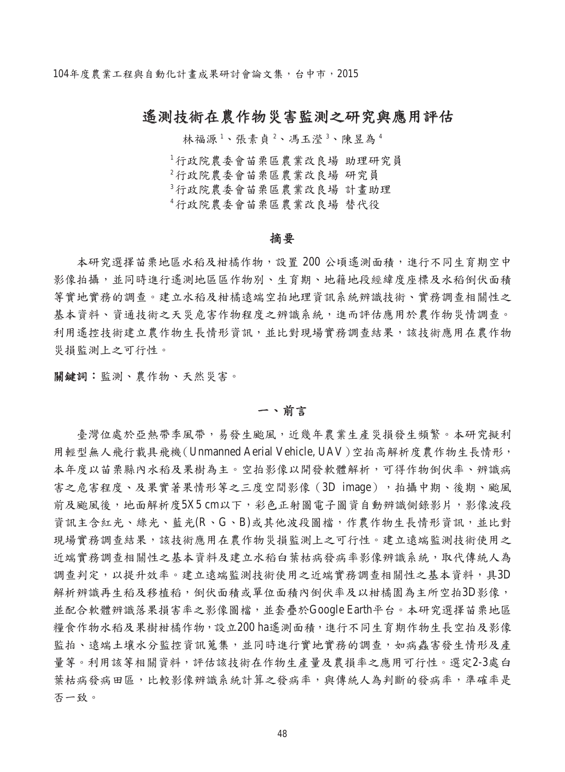104年度農業工程與自動化計畫成果研討會論文集,台中市,2015

# 遙測技術在農作物災害監測之研究與應用評估

林福源<sup>1</sup>、張素貞<sup>2</sup>、馮玉瀅<sup>3</sup>、陳昱為<sup>4</sup>

行政院農委會苗栗區農業改良場 助理研究員 行政院農委會苗栗區農業改良場 研究員 行政院農委會苗栗區農業改良場 計畫助理 行政院農委會苗栗區農業改良場 替代役

## 摘要

本研究選擇苗栗地區水稻及柑橘作物,設置 200 公頃遙測面積,進行不同生育期空中 影像拍攝,並同時進行遙測地區區作物別、生育期、地籍地段經緯度座標及水稻倒伏面積 等實地實務的調查。建立水稻及柑橘遠端空拍地理資訊系統辨識技術、實務調查相關性之 基本資料、資通技術之天災危害作物程度之辨識系統,進而評估應用於農作物災情調查。 利用遙控技術建立農作物生長情形資訊,並比對現場實務調查結果,該技術應用在農作物 災損監測上之可行性。

關鍵詞:監測、農作物、天然災害。

# 一、前言

臺灣位處於亞熱帶季風帶,易發生颱風,近幾年農業生產災損發生頻繁。本研究擬利 用輕型無人飛行載具飛機(Unmanned Aerial Vehicle, UAV)空拍高解析度農作物生長情形, 本年度以苗栗縣內水稻及果樹為主。空拍影像以開發軟體解析,可得作物倒伏率、辨識病 害之危害程度、及果實著果情形等之三度空間影像(3D image),拍攝中期、後期、颱風 前及颱風後,地面解析度5X5 cm以下,彩色正射圖電子圖資自動辨識側錄影片,影像波段 資訊主含紅光、綠光、藍光(R、G、B)或其他波段圖檔,作農作物生長情形資訊,並比對 現場實務調查結果,該技術應用在農作物災損監測上之可行性。建立遠端監測技術使用之 近端實務調查相關性之基本資料及建立水稻白葉枯病發病率影像辨識系統,取代傳統人為 調查判定,以提升效率。建立遠端監測技術使用之近端實務調查相關性之基本資料,具3D 解析辨識再生稻及移植稻,倒伏面積或單位面積內倒伏率及以柑橘園為主所空拍3D影像, 並配合軟體辨識落果損害率之影像圖檔,並套疊於Google Earth平台。本研究選擇苗栗地區 糧食作物水稻及果樹柑橘作物,設立200 ha遙測面積,進行不同生育期作物生長空拍及影像 監拍、遠端土壤水分監控資訊蒐集,並同時進行實地實務的調查,如病蟲害發生情形及產 量等。利用該等相關資料,評估該技術在作物生產量及農損率之應用可行性。選定2-3處白 葉枯病發病田區,比較影像辨識系統計算之發病率,與傳統人為判斷的發病率,準確率是 否一致。

48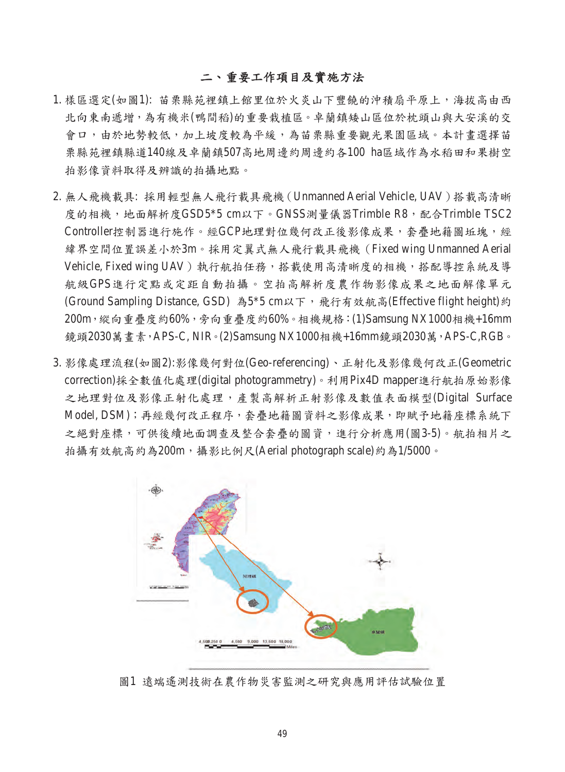# 二、重要工作項目及實施方法

- 1. 樣區選定(如圖1): 苗栗縣苑裡鎮上館里位於火炎山下豐饒的沖積扇平原上,海拔高由西 北向東南遞增,為有機米(鴨間稻)的重要栽植區。卓蘭鎮矮山區位於枕頭山與大安溪的交 會口,由於地勢較低,加上坡度較為平緩,為苗栗縣重要觀光果園區域。本計書選擇苗 栗縣苑裡鎮縣道140線及卓蘭鎮507高地周邊約周邊約各100 ha區域作為水稻田和果樹空 拍影像資料取得及辨識的拍攝地點。
- 2. 無人飛機載具: 採用輕型無人飛行載具飛機(Unmanned Aerial Vehicle, UAV)搭載高清晰 度的相機,地面解析度GSD5\*5 cm以下。GNSS測量儀器Trimble R8,配合Trimble TSC2 Controller控制器進行施作。經GCP地理對位幾何改正後影像成果,套疊地籍圖坵塊,經 緯界空間位置誤差小於3m。採用定翼式無人飛行載具飛機(Fixed wing Unmanned Aerial Vehicle, Fixed wing UAV)執行航拍任務,搭載使用高清晰度的相機,搭配導控系統及導 航級GPS進行定點或定距自動拍攝。空拍高解析度農作物影像成果之地面解像單元 (Ground Sampling Distance, GSD) 為5\*5 cm以下, 飛行有效航高(Effective flight height)約 200m,縱向重疊度約60%,旁向重疊度約60%。相機規格:(1)Samsung NX1000相機+16mm 鏡頭2030萬畫素,APS-C, NIR。(2)Samsung NX1000相機+16mm鏡頭2030萬,APS-C,RGB。
- 3. 影像處理流程(如圖2):影像幾何對位(Geo-referencing)、正射化及影像幾何改正(Geometric correction)採全數值化處理(digital photogrammetry)。利用Pix4D mapper進行航拍原始影像 之地理對位及影像正射化處理,產製高解析正射影像及數值表面模型(Digital Surface Model, DSM);再經幾何改正程序,套疊地籍圖資料之影像成果,即賦予地籍座標系統下 之絕對座標,可供後續地面調查及整合套疊的圖資,進行分析應用(圖3-5)。航拍相片之 拍攝有效航高約為200m,攝影比例尺(Aerial photograph scale)約為1/5000。



圖1 遠端遙測技術在農作物災害監測之研究與應用評估試驗位置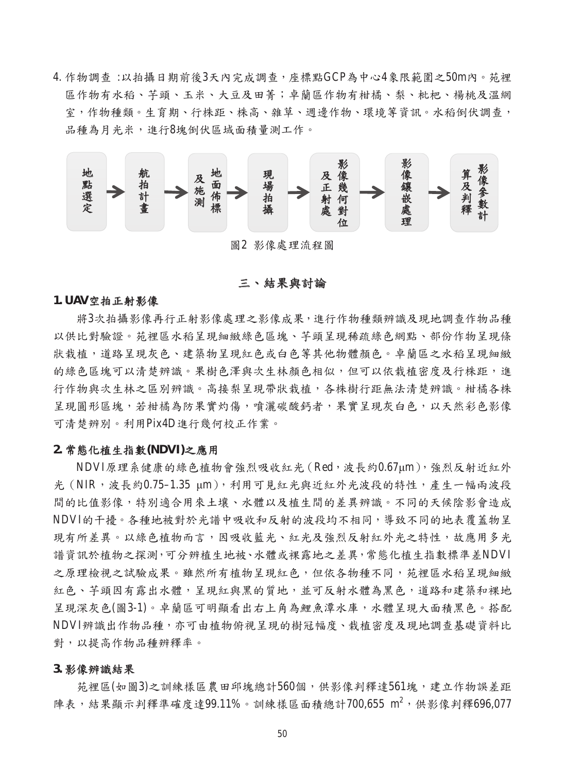4. 作物調查 :以拍攝日期前後3天內完成調查,座標點GCP為中心4象限範圍之50m內。苑裡 區作物有水稻、芋頭、玉米、大豆及田菁;卓蘭區作物有柑橘、梨、枇杷、楊桃及溫網 室,作物種類。生育期、行株距、株高、雜草、週邊作物、環境等資訊。水稻倒伏調查, 品種為月光米,進行8塊倒伏區域面積量測工作。



## 三、結果與討論

#### **1. UAV**空拍正射影像

將3次拍攝影像再行正射影像處理之影像成果,進行作物種類辨識及現地調查作物品種 以供比對驗證。苑裡區水稻呈現細緻綠色區塊、芋頭呈現稀疏綠色網點、部份作物呈現條 狀栽植,道路呈現灰色、建築物呈現紅色或白色等其他物體顏色。卓蘭區之水稻呈現細緻 的綠色區塊可以清楚辨識。果樹色澤與次生林顏色相似,但可以依栽植密度及行株距,進 行作物與次生林之區別辨識。高接梨呈現帶狀栽植,各株樹行距無法清楚辨識。柑橘各株 呈現圓形區塊,若柑橘為防果實灼傷,噴灑碳酸鈣者,果實呈現灰白色,以天然彩色影像 可清楚辨別。利用Pix4D進行幾何校正作業。

## **2.** 常態化植生指數**(NDVI)**之應用

NDVI原理系健康的綠色植物會強烈吸收紅光(Red,波長約0.67μm),強烈反射近紅外 光 (NIR,波長約0.75-1.35 μm), 利用可見紅光與近紅外光波段的特性, 產生一幅兩波段 間的比值影像,特別適合用來土壤、水體以及植生間的差異辨識。不同的天候陰影會造成 NDVI的干擾。各種地被對於光譜中吸收和反射的波段均不相同,導致不同的地表覆蓋物呈 現有所差異。以綠色植物而言,因吸收藍光、紅光及強烈反射紅外光之特性,故應用多光 譜資訊於植物之探測,可分辨植生地被、水體或裸露地之差異,常態化植生指數標準差NDVI 之原理檢視之試驗成果。雖然所有植物呈現紅色,但依各物種不同,苑裡區水稻呈現細緻 紅色、芋頭因有露出水體,呈現紅與黑的質地,並可反射水體為黑色,道路和建築和裸地 呈現深灰色(圖3-1)。卓蘭區可明顯看出右上角為鯉魚潭水庫,水體呈現大面積黑色。搭配 NDVI辨識出作物品種,亦可由植物俯視呈現的樹冠幅度、栽植密度及現地調查基礎資料比 對,以提高作物品種辨釋率。

#### **3.** 影像辨識結果

苑裡區(如圖3)之訓練樣區農田邱塊總計560個,供影像判釋達561塊,建立作物誤差距 陣表,結果顯示判釋準確度達99.11%。訓練樣區面積總計700,655 m<sup>2</sup>,供影像判釋696,077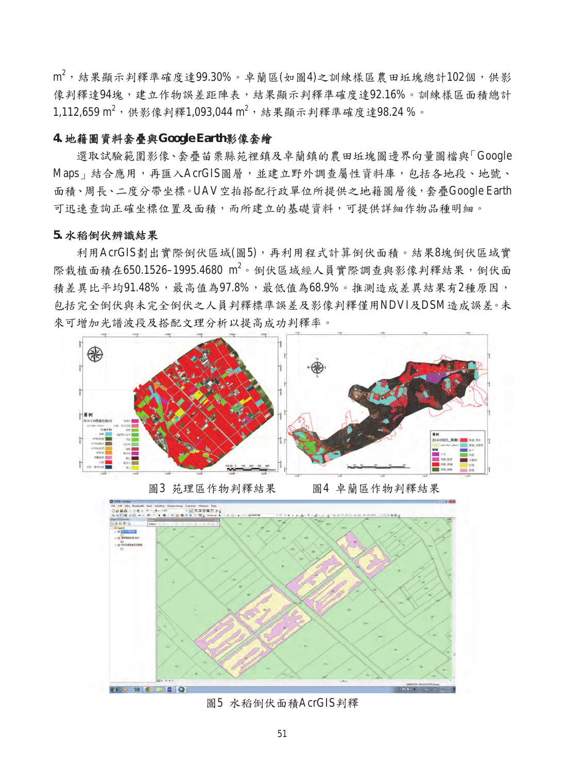$\mathrm{m}^2$ ,結果顯示判釋準確度達99.30%。卓蘭區(如圖4)之訓練樣區農田坵塊總計102個,供影 像判釋達94塊,建立作物誤差距陣表,結果顯示判釋準確度達92.16%。訓練樣區面積總計  $1,112,659 \text{ m}^2$ ,供影像判釋 $1,093,044 \text{ m}^2$ ,結果顯示判釋準確度達98.24%。

# **4.** 地籍圖資料套疊與**Google Earth**影像套繪

選取試驗範圍影像、套疊苗栗縣苑裡鎮及卓蘭鎮的農田坵塊圖邊界向量圖檔與「Google Maps | 結合應用, 再匯入AcrGIS圖層, 並建立野外調查屬性資料庫, 包括各地段、地號、 面積、周長、二度分帶坐標。UAV空拍搭配行政單位所提供之地籍圖層後,套疊Google Earth 可迅速查詢正確坐標位置及面積,而所建立的基礎資料,可提供詳細作物品種明細。

# **5.** 水稻倒伏辨識結果

利用AcrGIS劃出實際倒伏區域(圖5),再利用程式計算倒伏面積。結果8塊倒伏區域實 際栽植面積在650.1526-1995.4680 m<sup>2</sup>。倒伏區域經人員實際調查與影像判釋結果, 倒伏面 積差異比平均91.48%,最高值為97.8%,最低值為68.9%。推測造成差異結果有2種原因, 包括完全倒伏與未完全倒伏之人員判釋標準誤差及影像判釋僅用NDVI及DSM造成誤差。未 來可增加光譜波段及搭配文理分析以提高成功判釋率。







圖5 水稻倒伏面積AcrGIS判釋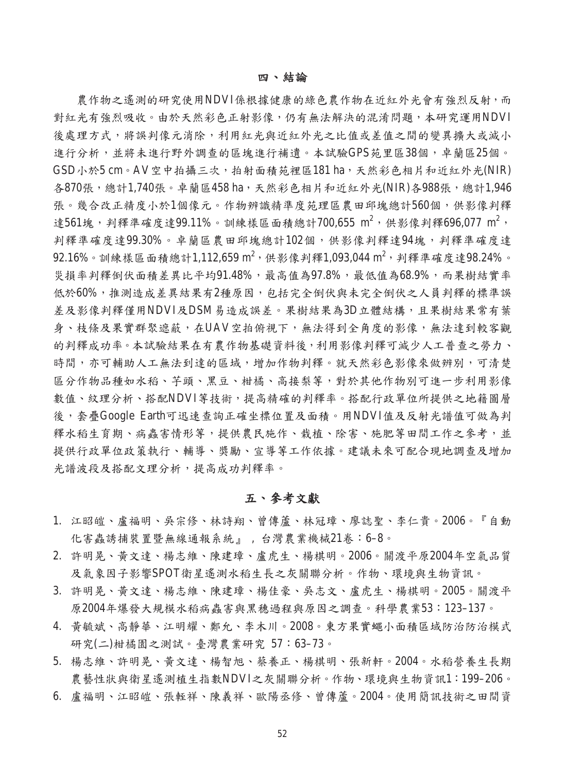#### 四、結論

農作物之遙測的研究使用NDVI係根據健康的綠色農作物在近紅外光會有強烈反射,而 對紅光有強烈吸收。由於天然彩色正射影像,仍有無法解決的混淆問題,本研究運用NDVI 後處理方式,將誤判像元消除,利用紅光與近紅外光之比值或差值之間的變異擴大或減小 進行分析,並將未進行野外調查的區塊進行補遺。本試驗GPS苑里區38個,卓蘭區25個。 GSD小於5 cm。AV空中拍攝三次,拍射面積苑裡區181 ha,天然彩色相片和近紅外光(NIR) 各870張,總計1,740張。卓蘭區458 ha,天然彩色相片和近紅外光(NIR)各988張,總計1,946 張。幾合改正精度小於1個像元。作物辨識精準度苑理區農田邱塊總計560個,供影像判釋 達561塊,判釋準確度達99.11%。訓練樣區面積總計700,655 m<sup>2</sup>,供影像判釋696,077 m<sup>2</sup>, 判釋準確度達99.30%。卓蘭區農田邱塊總計102個,供影像判釋達94塊,判釋準確度達  $92.16\%$ 。訓練樣區面積總計1,112,659 m<sup>2</sup>,供影像判釋1,093,044 m<sup>2</sup>,判釋準確度達98.24%。 災損率判釋倒伏面積差異比平均91.48%,最高值為97.8%,最低值為68.9%,而果樹結實率 低於60%,推測造成差異結果有2種原因,包括完全倒伏與未完全倒伏之人員判釋的標準誤 差及影像判釋僅用NDVI及DSM易造成誤差。果樹結果為3D立體結構,且果樹結果常有葉 身、枝條及果實群聚遮蔽,在UAV空拍俯視下,無法得到全角度的影像,無法達到較客觀 的判釋成功率。本試驗結果在有農作物基礎資料後,利用影像判釋可減少人工普查之勞力、 時間,亦可輔助人工無法到達的區域,增加作物判釋。就天然彩色影像來做辨別,可清楚 區分作物品種如水稻、芋頭、黑豆、柑橘、高接梨等,對於其他作物別可進一步利用影像 數值、紋理分析、搭配NDVI等技術,提高精確的判釋率。搭配行政單位所提供之地籍圖層 後,套疊Google Earth可迅速查詢正確坐標位置及面積。用NDVI值及反射光譜值可做為判 釋水稻生育期、病蟲害情形等,提供農民施作、栽植、除害、施肥等田間工作之參考,並 提供行政單位政策執行、輔導、獎勵、宣導等工作依據。建議未來可配合現地調查及增加 光譜波段及搭配文理分析,提高成功判釋率。

# 五、參考文獻

- 1. 江昭皚、盧福明、吳宗修、林詩翔、曾傳蘆、林冠璋、廖誌聖、李仁貴。2006。『自動 化害蟲誘捕裝置暨無線通報系統』 , 台灣農業機械21卷:6–8。
- 2. 許明晃、黃文達、楊志維、陳建璋、盧虎生、楊棋明。2006。關渡平原2004年空氣品質 及氣象因子影響SPOT衛星遙測水稻生長之灰關聯分析。作物、環境與生物資訊。
- 3. 許明晃、黃文達、楊志維、陳建璋、楊佳豪、吳志文、盧虎生、楊棋明。2005。關渡平 原2004年爆發大規模水稻病蟲害與黑穗過程與原因之調查。科學農業53:123–137。
- 4. 黃毓斌、高靜華、江明耀、鄭允、李木川。2008。東方果實蠅小面積區域防治防治模式 研究(二)柑橘園之測試。臺灣農業研究 57:63–73。
- 5. 楊志維、許明晃、黃文達、楊智旭、蔡養正、楊棋明、張新軒。2004。水稻營養生長期 農藝性狀與衛星遙測植生指數NDVI之灰關聯分析。作物、環境與生物資訊1:199–206。
- 6. 盧福明、江昭皚、張輊祥、陳義祥、歐陽丞修、曾傳蘆。2004。使用簡訊技術之田間資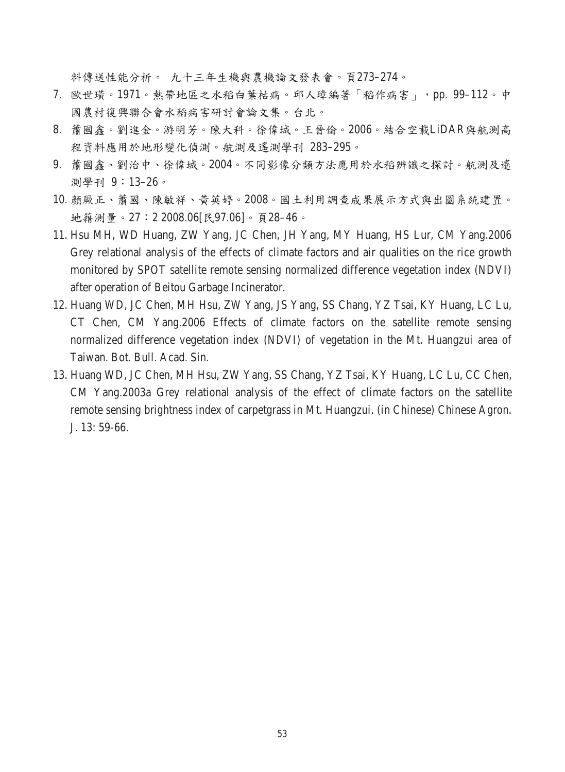料傳送性能分析。 九十三年生機與農機論文發表會。頁273–274。

- 7. 歐世璜。1971。熱帶地區之水稻白葉枯病。邱人璋編著「稻作病害」,pp. 99–112。中 國農村復興聯合會水稻病害研討會論文集。台北。
- 8. 蕭國鑫。劉進金。游明芳。陳大科。徐偉城。王晉倫。2006。結合空載LiDAR與航測高 程資料應用於地形變化偵測。航測及遙測學刊 283–295。
- 9. 蕭國鑫、劉治中、徐偉城。2004。不同影像分類方法應用於水稻辨識之探討。航測及遙 測學刊 9:13–26。
- 10. 顏厥正、蕭國、陳敏祥、黃英婷。2008。國土利用調查成果展示方式與出圖系統建置。 地籍測量。27:2 2008.06[民97.06]。頁28–46。
- 11. Hsu MH, WD Huang, ZW Yang, JC Chen, JH Yang, MY Huang, HS Lur, CM Yang.2006 Grey relational analysis of the effects of climate factors and air qualities on the rice growth monitored by SPOT satellite remote sensing normalized difference vegetation index (NDVI) after operation of Beitou Garbage Incinerator.
- 12. Huang WD, JC Chen, MH Hsu, ZW Yang, JS Yang, SS Chang, YZ Tsai, KY Huang, LC Lu, CT Chen, CM Yang.2006 Effects of climate factors on the satellite remote sensing normalized difference vegetation index (NDVI) of vegetation in the Mt. Huangzui area of Taiwan. Bot. Bull. Acad. Sin.
- 13. Huang WD, JC Chen, MH Hsu, ZW Yang, SS Chang, YZ Tsai, KY Huang, LC Lu, CC Chen, CM Yang.2003a Grey relational analysis of the effect of climate factors on the satellite remote sensing brightness index of carpetgrass in Mt. Huangzui. (in Chinese) Chinese Agron. J. 13: 59-66.